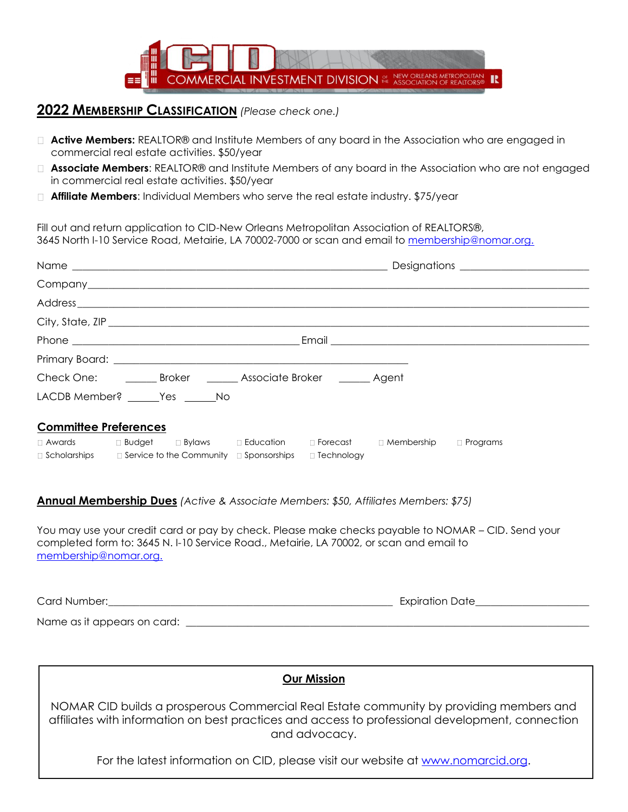

## **2022 MEMBERSHIP CLASSIFICATION** *(Please check one.)*

- □ **Active Members:** REALTOR® and Institute Members of any board in the Association who are engaged in commercial real estate activities. \$50/year
- **Associate Members**: REALTOR® and Institute Members of any board in the Association who are not engaged in commercial real estate activities. \$50/year
- **Affiliate Members**: Individual Members who serve the real estate industry. \$75/year

Fill out and return application to CID-New Orleans Metropolitan Association of REALTORS®, 3645 North I-10 Service Road, Metairie, LA 70002-7000 or scan and email to [membership@nomar.org.](mailto:membership@nomar.org.)

|                                    | Check One: __________ Broker _________ Associate Broker ________ Agent                     |  |  |  |  |  |  |  |
|------------------------------------|--------------------------------------------------------------------------------------------|--|--|--|--|--|--|--|
| LACDB Member? _______Yes _______No |                                                                                            |  |  |  |  |  |  |  |
| <b>Committee Preferences</b>       |                                                                                            |  |  |  |  |  |  |  |
|                                    | □ Awards     □ Budget   □ Bylaws    □ Education    □ Forecast    □ Membership   □ Programs |  |  |  |  |  |  |  |
|                                    | $\Box$ Scholarships $\Box$ Service to the Community $\Box$ Sponsorships $\Box$ Technology  |  |  |  |  |  |  |  |

## **Annual Membership Dues** *(Active & Associate Members: \$50, Affiliates Members: \$75)*

You may use your credit card or pay by check. Please make checks payable to NOMAR – CID. Send your completed form to: 3645 N. I-10 Service Road., Metairie, LA 70002, or scan and email to [membership@nomar.org.](mailto:membership@nomar.org.)

| Card Number: |  |  |  |
|--------------|--|--|--|
|              |  |  |  |

Name as it appears on card: \_\_\_\_\_\_\_\_\_\_\_\_\_\_\_\_\_\_\_\_\_\_\_\_\_\_\_\_\_\_\_\_\_\_\_\_\_\_\_\_\_\_\_\_\_\_\_\_\_\_\_\_\_\_\_\_\_\_\_\_\_\_\_\_\_\_\_\_\_\_\_\_\_\_\_\_\_\_

| <b>Our Mission</b>                                                                                                                                                                                           |
|--------------------------------------------------------------------------------------------------------------------------------------------------------------------------------------------------------------|
| NOMAR CID builds a prosperous Commercial Real Estate community by providing members and<br>affiliates with information on best practices and access to professional development, connection<br>and advocacy. |
| For the latest information on CID, please visit our website at www.nomarcid.org.                                                                                                                             |